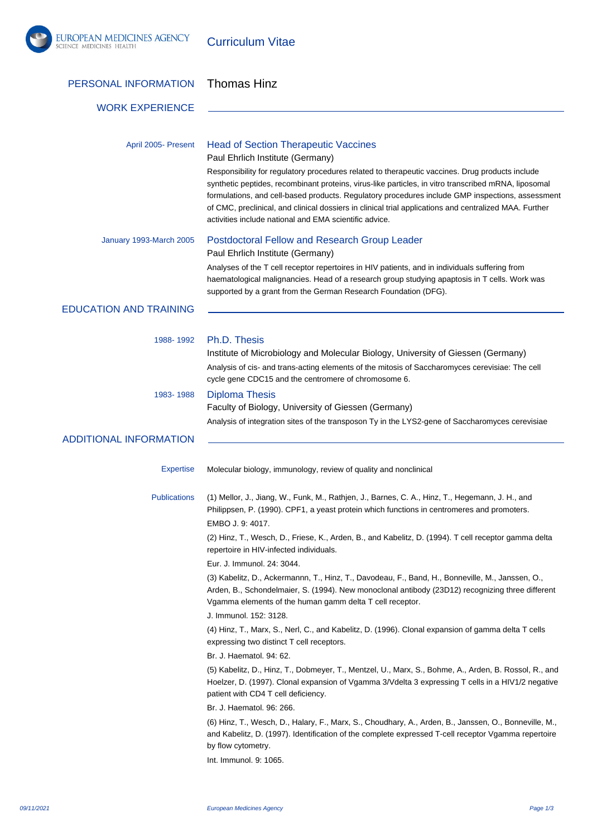

Curriculum Vitae

| PERSONAL INFORMATION          | <b>Thomas Hinz</b>                                                                                                                                                                                                                                                                                                                                                                                                                                                              |
|-------------------------------|---------------------------------------------------------------------------------------------------------------------------------------------------------------------------------------------------------------------------------------------------------------------------------------------------------------------------------------------------------------------------------------------------------------------------------------------------------------------------------|
| <b>WORK EXPERIENCE</b>        |                                                                                                                                                                                                                                                                                                                                                                                                                                                                                 |
| April 2005- Present           | <b>Head of Section Therapeutic Vaccines</b><br>Paul Ehrlich Institute (Germany)                                                                                                                                                                                                                                                                                                                                                                                                 |
|                               | Responsibility for regulatory procedures related to therapeutic vaccines. Drug products include<br>synthetic peptides, recombinant proteins, virus-like particles, in vitro transcribed mRNA, liposomal<br>formulations, and cell-based products. Regulatory procedures include GMP inspections, assessment<br>of CMC, preclinical, and clinical dossiers in clinical trial applications and centralized MAA. Further<br>activities include national and EMA scientific advice. |
| January 1993-March 2005       | Postdoctoral Fellow and Research Group Leader<br>Paul Ehrlich Institute (Germany)                                                                                                                                                                                                                                                                                                                                                                                               |
|                               | Analyses of the T cell receptor repertoires in HIV patients, and in individuals suffering from<br>haematological malignancies. Head of a research group studying apaptosis in T cells. Work was<br>supported by a grant from the German Research Foundation (DFG).                                                                                                                                                                                                              |
| <b>EDUCATION AND TRAINING</b> |                                                                                                                                                                                                                                                                                                                                                                                                                                                                                 |
| 1988-1992                     | Ph.D. Thesis<br>Institute of Microbiology and Molecular Biology, University of Giessen (Germany)<br>Analysis of cis- and trans-acting elements of the mitosis of Saccharomyces cerevisiae: The cell<br>cycle gene CDC15 and the centromere of chromosome 6.                                                                                                                                                                                                                     |
| 1983-1988                     | <b>Diploma Thesis</b><br>Faculty of Biology, University of Giessen (Germany)<br>Analysis of integration sites of the transposon Ty in the LYS2-gene of Saccharomyces cerevisiae                                                                                                                                                                                                                                                                                                 |
| <b>ADDITIONAL INFORMATION</b> |                                                                                                                                                                                                                                                                                                                                                                                                                                                                                 |
| <b>Expertise</b>              | Molecular biology, immunology, review of quality and nonclinical                                                                                                                                                                                                                                                                                                                                                                                                                |
| <b>Publications</b>           | (1) Mellor, J., Jiang, W., Funk, M., Rathjen, J., Barnes, C. A., Hinz, T., Hegemann, J. H., and<br>Philippsen, P. (1990). CPF1, a yeast protein which functions in centromeres and promoters.<br>EMBO J. 9: 4017.                                                                                                                                                                                                                                                               |
|                               | (2) Hinz, T., Wesch, D., Friese, K., Arden, B., and Kabelitz, D. (1994). T cell receptor gamma delta<br>repertoire in HIV-infected individuals.<br>Eur. J. Immunol. 24: 3044.                                                                                                                                                                                                                                                                                                   |
|                               | (3) Kabelitz, D., Ackermannn, T., Hinz, T., Davodeau, F., Band, H., Bonneville, M., Janssen, O.,<br>Arden, B., Schondelmaier, S. (1994). New monoclonal antibody (23D12) recognizing three different<br>Vgamma elements of the human gamm delta T cell receptor.                                                                                                                                                                                                                |
|                               | J. Immunol. 152: 3128.<br>(4) Hinz, T., Marx, S., Nerl, C., and Kabelitz, D. (1996). Clonal expansion of gamma delta T cells<br>expressing two distinct T cell receptors.                                                                                                                                                                                                                                                                                                       |
|                               | Br. J. Haematol. 94: 62.                                                                                                                                                                                                                                                                                                                                                                                                                                                        |
|                               | (5) Kabelitz, D., Hinz, T., Dobmeyer, T., Mentzel, U., Marx, S., Bohme, A., Arden, B. Rossol, R., and<br>Hoelzer, D. (1997). Clonal expansion of Vgamma 3/Vdelta 3 expressing T cells in a HIV1/2 negative<br>patient with CD4 T cell deficiency.                                                                                                                                                                                                                               |
|                               | Br. J. Haematol. 96: 266.                                                                                                                                                                                                                                                                                                                                                                                                                                                       |
|                               | (6) Hinz, T., Wesch, D., Halary, F., Marx, S., Choudhary, A., Arden, B., Janssen, O., Bonneville, M.,<br>and Kabelitz, D. (1997). Identification of the complete expressed T-cell receptor Vgamma repertoire<br>by flow cytometry.                                                                                                                                                                                                                                              |
|                               | Int. Immunol. 9: 1065.                                                                                                                                                                                                                                                                                                                                                                                                                                                          |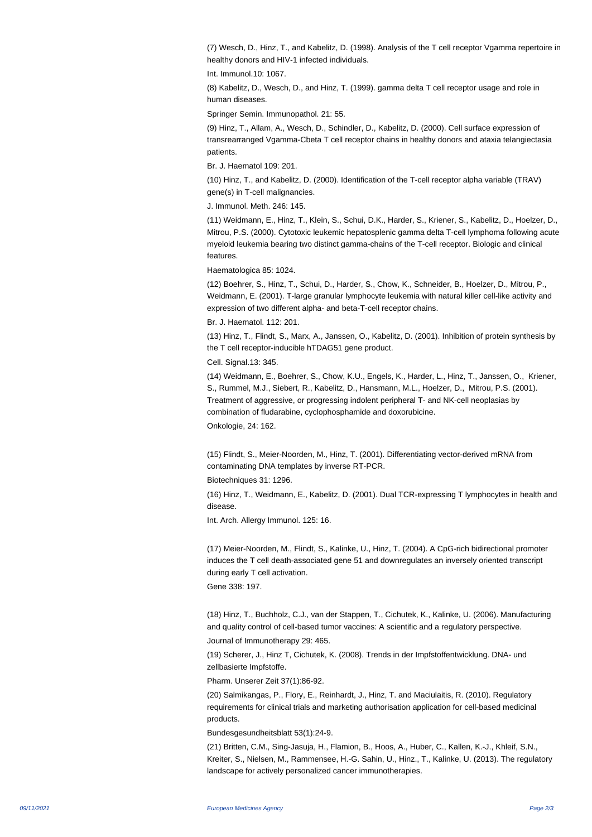(7) Wesch, D., Hinz, T., and Kabelitz, D. (1998). Analysis of the T cell receptor Vgamma repertoire in healthy donors and HIV-1 infected individuals.

Int. Immunol.10: 1067.

(8) Kabelitz, D., Wesch, D., and Hinz, T. (1999). gamma delta T cell receptor usage and role in human diseases.

Springer Semin. Immunopathol. 21: 55.

(9) Hinz, T., Allam, A., Wesch, D., Schindler, D., Kabelitz, D. (2000). Cell surface expression of transrearranged Vgamma-Cbeta T cell receptor chains in healthy donors and ataxia telangiectasia patients.

Br. J. Haematol 109: 201.

(10) Hinz, T., and Kabelitz, D. (2000). Identification of the T-cell receptor alpha variable (TRAV) gene(s) in T-cell malignancies.

J. Immunol. Meth. 246: 145.

(11) Weidmann, E., Hinz, T., Klein, S., Schui, D.K., Harder, S., Kriener, S., Kabelitz, D., Hoelzer, D., Mitrou, P.S. (2000). Cytotoxic leukemic hepatosplenic gamma delta T-cell lymphoma following acute myeloid leukemia bearing two distinct gamma-chains of the T-cell receptor. Biologic and clinical features.

Haematologica 85: 1024.

(12) Boehrer, S., Hinz, T., Schui, D., Harder, S., Chow, K., Schneider, B., Hoelzer, D., Mitrou, P., Weidmann, E. (2001). T-large granular lymphocyte leukemia with natural killer cell-like activity and expression of two different alpha- and beta-T-cell receptor chains.

Br. J. Haematol. 112: 201.

(13) Hinz, T., Flindt, S., Marx, A., Janssen, O., Kabelitz, D. (2001). Inhibition of protein synthesis by the T cell receptor-inducible hTDAG51 gene product.

Cell. Signal.13: 345.

(14) Weidmann, E., Boehrer, S., Chow, K.U., Engels, K., Harder, L., Hinz, T., Janssen, O., Kriener, S., Rummel, M.J., Siebert, R., Kabelitz, D., Hansmann, M.L., Hoelzer, D., Mitrou, P.S. (2001). Treatment of aggressive, or progressing indolent peripheral T- and NK-cell neoplasias by combination of fludarabine, cyclophosphamide and doxorubicine.

Onkologie, 24: 162.

(15) Flindt, S., Meier-Noorden, M., Hinz, T. (2001). Differentiating vector-derived mRNA from contaminating DNA templates by inverse RT-PCR.

Biotechniques 31: 1296.

(16) Hinz, T., Weidmann, E., Kabelitz, D. (2001). Dual TCR-expressing T lymphocytes in health and disease.

Int. Arch. Allergy Immunol. 125: 16.

(17) Meier-Noorden, M., Flindt, S., Kalinke, U., Hinz, T. (2004). A CpG-rich bidirectional promoter induces the T cell death-associated gene 51 and downregulates an inversely oriented transcript during early T cell activation. Gene 338: 197.

(18) Hinz, T., Buchholz, C.J., van der Stappen, T., Cichutek, K., Kalinke, U. (2006). Manufacturing and quality control of cell-based tumor vaccines: A scientific and a regulatory perspective. Journal of Immunotherapy 29: 465.

(19) Scherer, J., Hinz T, Cichutek, K. (2008). Trends in der Impfstoffentwicklung. DNA- und zellbasierte Impfstoffe.

Pharm. Unserer Zeit 37(1):86-92.

(20) Salmikangas, P., Flory, E., Reinhardt, J., Hinz, T. and Maciulaitis, R. (2010). Regulatory requirements for clinical trials and marketing authorisation application for cell-based medicinal products.

Bundesgesundheitsblatt 53(1):24-9.

(21) Britten, C.M., Sing-Jasuja, H., Flamion, B., Hoos, A., Huber, C., Kallen, K.-J., Khleif, S.N., Kreiter, S., Nielsen, M., Rammensee, H.-G. Sahin, U., Hinz., T., Kalinke, U. (2013). The regulatory landscape for actively personalized cancer immunotherapies.